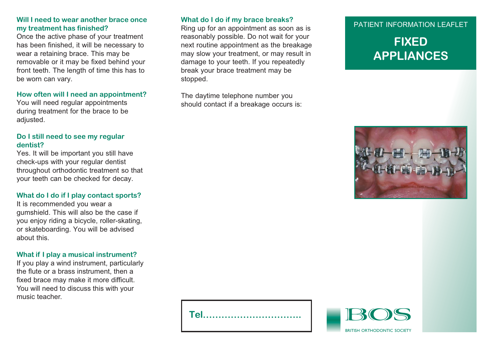### **Will I need to wear another brace once my treatment has finished?**

Once the active phase of your treatment has been finished, it will be necessary to wear a retaining brace. This may be removable or it may be fixed behind your front teeth. The length of time this has to be worn can vary.

#### **How often will I need an appointment?**

You will need regular appointments during treatment for the brace to be adjusted.

## **Do I still need to see my regular dentist?**

Yes. It will be important you still have check-ups with your regular dentist throughout orthodontic treatment so that your teeth can be checked for decay.

## **What do I do if I play contact sports?**

It is recommended you wear a gumshield. This will also be the case if you enjoy riding a bicycle, roller-skating, or skateboarding. You will be advised about this.

## **What if I play a musical instrument?**

If you play a wind instrument, particularly the flute or a brass instrument, then a fixed brace may make it more difficult. You will need to discuss this with your music teacher.

## **What do I do if my brace breaks?**

Ring up for an appointment as soon as is reasonably possible. Do not wait for your next routine appointment as the breakage may slow your treatment, or may result in damage to your teeth. If you repeatedly break your brace treatment may be stopped.

The daytime telephone number you should contact if a breakage occurs is:

#### PATIENT INFORMATION LEAFLET

# **FIXED APPLIANCES**



|  |  | Tel |
|--|--|-----|
|  |  |     |